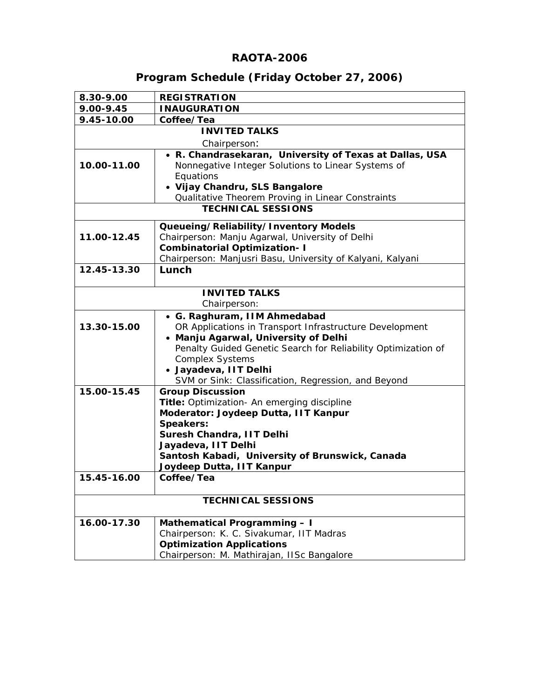# **RAOTA-2006**

# **Program Schedule (Friday October 27, 2006)**

| 8.30-9.00                 | <b>REGISTRATION</b>                                                            |  |  |
|---------------------------|--------------------------------------------------------------------------------|--|--|
| 9.00-9.45                 | <b>INAUGURATION</b>                                                            |  |  |
| 9.45-10.00                | Coffee/Tea                                                                     |  |  |
| <b>INVITED TALKS</b>      |                                                                                |  |  |
|                           | Chairperson:                                                                   |  |  |
|                           | • R. Chandrasekaran, University of Texas at Dallas, USA                        |  |  |
| 10.00-11.00               | Nonnegative Integer Solutions to Linear Systems of                             |  |  |
|                           | Equations                                                                      |  |  |
|                           | • Vijay Chandru, SLS Bangalore                                                 |  |  |
|                           | Qualitative Theorem Proving in Linear Constraints                              |  |  |
|                           | <b>TECHNICAL SESSIONS</b>                                                      |  |  |
|                           | Queueing/Reliability/Inventory Models                                          |  |  |
| 11.00-12.45               | Chairperson: Manju Agarwal, University of Delhi                                |  |  |
|                           | <b>Combinatorial Optimization-I</b>                                            |  |  |
|                           | Chairperson: Manjusri Basu, University of Kalyani, Kalyani                     |  |  |
| 12.45-13.30               | Lunch                                                                          |  |  |
|                           |                                                                                |  |  |
|                           | <b>INVITED TALKS</b>                                                           |  |  |
|                           | Chairperson:                                                                   |  |  |
|                           | • G. Raghuram, IIM Ahmedabad                                                   |  |  |
| 13.30-15.00               | OR Applications in Transport Infrastructure Development                        |  |  |
|                           | • Manju Agarwal, University of Delhi                                           |  |  |
|                           | Penalty Guided Genetic Search for Reliability Optimization of                  |  |  |
|                           | <b>Complex Systems</b>                                                         |  |  |
|                           | · Jayadeva, IIT Delhi                                                          |  |  |
| 15.00-15.45               | SVM or Sink: Classification, Regression, and Beyond<br><b>Group Discussion</b> |  |  |
|                           | Title: Optimization- An emerging discipline                                    |  |  |
|                           | Moderator: Joydeep Dutta, IIT Kanpur                                           |  |  |
|                           | Speakers:                                                                      |  |  |
|                           | Suresh Chandra, IIT Delhi                                                      |  |  |
|                           | Jayadeva, IIT Delhi                                                            |  |  |
|                           | Santosh Kabadi, University of Brunswick, Canada                                |  |  |
|                           | Joydeep Dutta, IIT Kanpur                                                      |  |  |
| 15.45-16.00               | Coffee/Tea                                                                     |  |  |
|                           |                                                                                |  |  |
| <b>TECHNICAL SESSIONS</b> |                                                                                |  |  |
| 16.00-17.30               | <b>Mathematical Programming - I</b>                                            |  |  |
|                           | Chairperson: K. C. Sivakumar, IIT Madras                                       |  |  |
|                           | <b>Optimization Applications</b>                                               |  |  |
|                           | Chairperson: M. Mathirajan, IISc Bangalore                                     |  |  |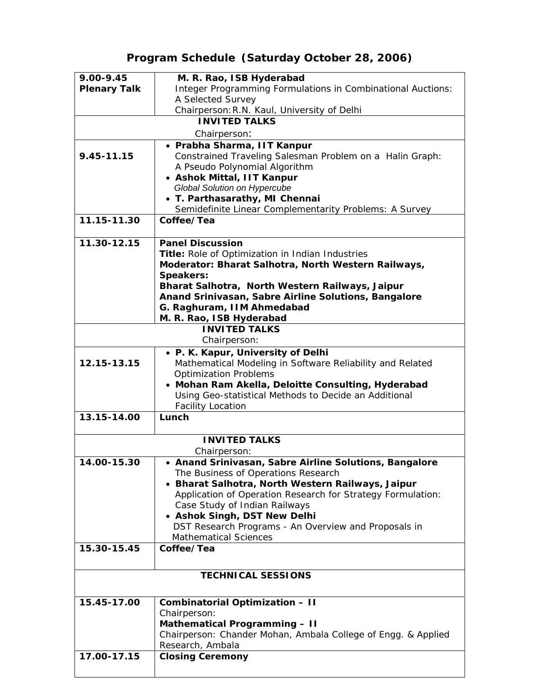# **Program Schedule (Saturday October 28, 2006)**

| 9.00-9.45           | M. R. Rao, ISB Hyderabad                                                               |
|---------------------|----------------------------------------------------------------------------------------|
| <b>Plenary Talk</b> | Integer Programming Formulations in Combinational Auctions:                            |
|                     | A Selected Survey                                                                      |
|                     | Chairperson: R.N. Kaul, University of Delhi                                            |
|                     | <b>INVITED TALKS</b>                                                                   |
|                     | Chairperson:                                                                           |
|                     | • Prabha Sharma, IIT Kanpur                                                            |
| 9.45-11.15          | Constrained Traveling Salesman Problem on a Halin Graph:                               |
|                     | A Pseudo Polynomial Algorithm                                                          |
|                     | • Ashok Mittal, IIT Kanpur                                                             |
|                     | Global Solution on Hypercube                                                           |
|                     | • T. Parthasarathy, MI Chennai                                                         |
|                     | Semidefinite Linear Complementarity Problems: A Survey                                 |
| 11.15-11.30         | Coffee/Tea                                                                             |
| 11.30-12.15         | <b>Panel Discussion</b>                                                                |
|                     | Title: Role of Optimization in Indian Industries                                       |
|                     | Moderator: Bharat Salhotra, North Western Railways,                                    |
|                     | Speakers:                                                                              |
|                     | Bharat Salhotra, North Western Railways, Jaipur                                        |
|                     | Anand Srinivasan, Sabre Airline Solutions, Bangalore                                   |
|                     | G. Raghuram, IIM Ahmedabad                                                             |
|                     | M. R. Rao, ISB Hyderabad                                                               |
|                     | <b>INVITED TALKS</b><br>Chairperson:                                                   |
|                     | • P. K. Kapur, University of Delhi                                                     |
| 12.15-13.15         | Mathematical Modeling in Software Reliability and Related                              |
|                     | <b>Optimization Problems</b>                                                           |
|                     | • Mohan Ram Akella, Deloitte Consulting, Hyderabad                                     |
|                     | Using Geo-statistical Methods to Decide an Additional                                  |
|                     | <b>Facility Location</b>                                                               |
| 13.15-14.00         | Lunch                                                                                  |
|                     |                                                                                        |
|                     | <b>INVITED TALKS</b>                                                                   |
|                     | Chairperson:                                                                           |
| 14.00-15.30         | • Anand Srinivasan, Sabre Airline Solutions, Bangalore                                 |
|                     | The Business of Operations Research<br>Bharat Salhotra, North Western Railways, Jaipur |
|                     | Application of Operation Research for Strategy Formulation:                            |
|                     | Case Study of Indian Railways                                                          |
|                     | • Ashok Singh, DST New Delhi                                                           |
|                     | DST Research Programs - An Overview and Proposals in                                   |
|                     | <b>Mathematical Sciences</b>                                                           |
| 15.30-15.45         | Coffee/Tea                                                                             |
|                     |                                                                                        |
|                     | <b>TECHNICAL SESSIONS</b>                                                              |
|                     |                                                                                        |
| 15.45-17.00         | <b>Combinatorial Optimization - II</b>                                                 |
|                     | Chairperson:                                                                           |
|                     | <b>Mathematical Programming - II</b>                                                   |
|                     | Chairperson: Chander Mohan, Ambala College of Engg. & Applied                          |
|                     | Research, Ambala                                                                       |
| 17.00-17.15         | <b>Closing Ceremony</b>                                                                |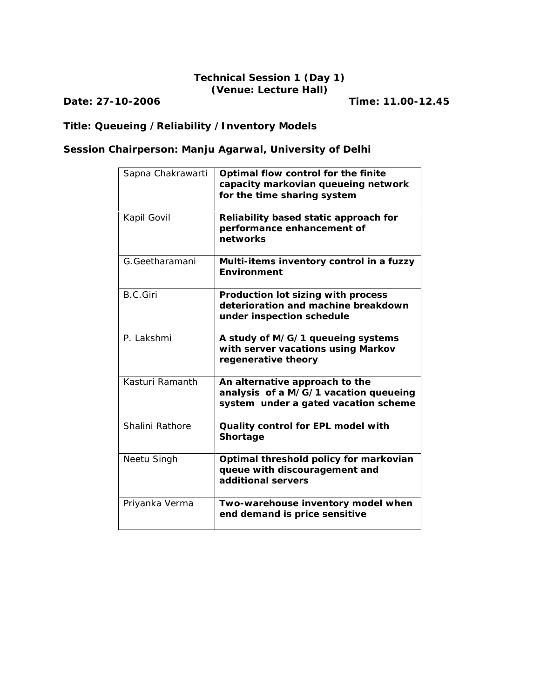## **Technical Session 1 (Day 1) (Venue: Lecture Hall)**

**Date: 27-10-2006 Time: 11.00-12.45**

# **Title: Queueing /Reliability /Inventory Models**

# **Session Chairperson: Manju Agarwal, University of Delhi**

| Sapna Chakrawarti | Optimal flow control for the finite<br>capacity markovian queueing network<br>for the time sharing system       |
|-------------------|-----------------------------------------------------------------------------------------------------------------|
| Kapil Govil       | Reliability based static approach for<br>performance enhancement of<br>networks                                 |
| G.Geetharamani    | Multi-items inventory control in a fuzzy<br>Environment                                                         |
| <b>B.C.Giri</b>   | Production lot sizing with process<br>deterioration and machine breakdown<br>under inspection schedule          |
| P. Lakshmi        | A study of M/G/1 queueing systems<br>with server vacations using Markov<br>regenerative theory                  |
| Kasturi Ramanth   | An alternative approach to the<br>analysis of a M/G/1 vacation queueing<br>system under a gated vacation scheme |
| Shalini Rathore   | Quality control for EPL model with<br>Shortage                                                                  |
| Neetu Singh       | Optimal threshold policy for markovian<br>queue with discouragement and<br>additional servers                   |
| Priyanka Verma    | Two-warehouse inventory model when<br>end demand is price sensitive                                             |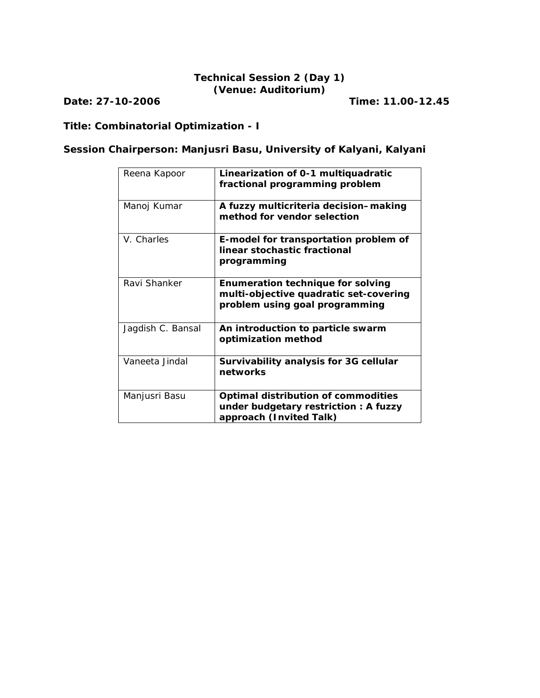## **Technical Session 2 (Day 1) (Venue: Auditorium)**

**Date: 27-10-2006 Time: 11.00-12.45**

# **Title: Combinatorial Optimization - I**

# **Session Chairperson: Manjusri Basu, University of Kalyani, Kalyani**

| Reena Kapoor      | Linearization of 0-1 multiquadratic<br>fractional programming problem                                                |
|-------------------|----------------------------------------------------------------------------------------------------------------------|
| Manoj Kumar       | A fuzzy multicriteria decision-making<br>method for vendor selection                                                 |
| V. Charles        | E-model for transportation problem of<br>linear stochastic fractional<br>programming                                 |
| Ravi Shanker      | <b>Enumeration technique for solving</b><br>multi-objective quadratic set-covering<br>problem using goal programming |
| Jagdish C. Bansal | An introduction to particle swarm<br>optimization method                                                             |
| Vaneeta Jindal    | Survivability analysis for 3G cellular<br>networks                                                                   |
| Manjusri Basu     | Optimal distribution of commodities<br>under budgetary restriction: A fuzzy<br>approach (Invited Talk)               |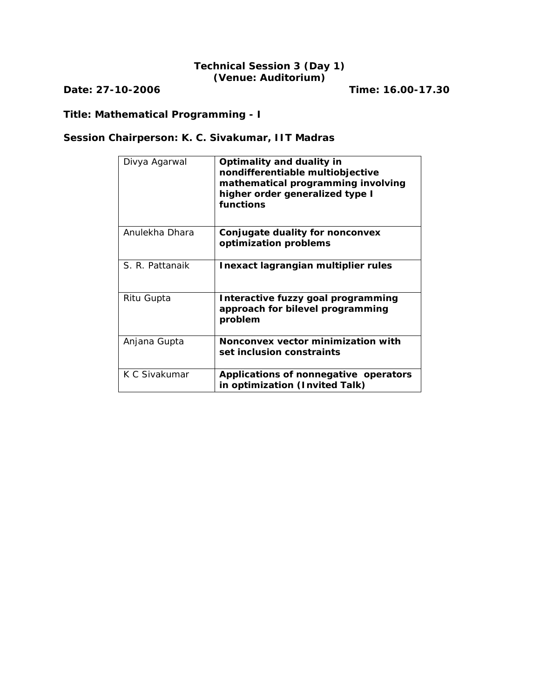### **Technical Session 3 (Day 1) (Venue: Auditorium)**

**Date: 27-10-2006 Time: 16.00-17.30**

# **Title: Mathematical Programming - I**

# **Session Chairperson: K. C. Sivakumar, IIT Madras**

| Divya Agarwal   | Optimality and duality in<br>nondifferentiable multiobjective<br>mathematical programming involving<br>higher order generalized type I<br>functions |
|-----------------|-----------------------------------------------------------------------------------------------------------------------------------------------------|
| Anulekha Dhara  | Conjugate duality for nonconvex<br>optimization problems                                                                                            |
| S. R. Pattanaik | Inexact lagrangian multiplier rules                                                                                                                 |
| Ritu Gupta      | Interactive fuzzy goal programming<br>approach for bilevel programming<br>problem                                                                   |
| Anjana Gupta    | Nonconvex vector minimization with<br>set inclusion constraints                                                                                     |
| K C Sivakumar   | Applications of nonnegative operators<br>in optimization (Invited Talk)                                                                             |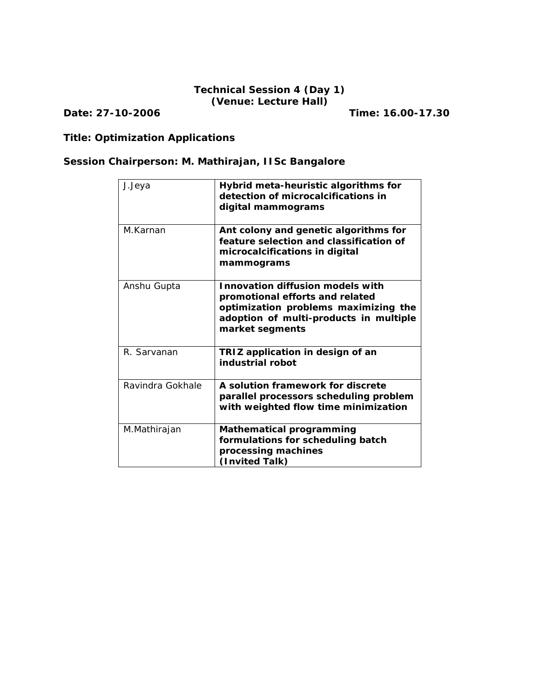# **Technical Session 4 (Day 1) (Venue: Lecture Hall)**

**Date: 27-10-2006 Time: 16.00-17.30**

# **Title: Optimization Applications**

# **Session Chairperson: M. Mathirajan, IISc Bangalore**

| J.Jeya           | Hybrid meta-heuristic algorithms for<br>detection of microcalcifications in<br>digital mammograms                                                                               |
|------------------|---------------------------------------------------------------------------------------------------------------------------------------------------------------------------------|
| M.Karnan         | Ant colony and genetic algorithms for<br>feature selection and classification of<br>microcalcifications in digital<br>mammograms                                                |
| Anshu Gupta      | <b>Innovation diffusion models with</b><br>promotional efforts and related<br>optimization problems maximizing the<br>adoption of multi-products in multiple<br>market segments |
| R. Sarvanan      | TRIZ application in design of an<br>industrial robot                                                                                                                            |
| Ravindra Gokhale | A solution framework for discrete<br>parallel processors scheduling problem<br>with weighted flow time minimization                                                             |
| M.Mathirajan     | <b>Mathematical programming</b><br>formulations for scheduling batch<br>processing machines<br>(Invited Talk)                                                                   |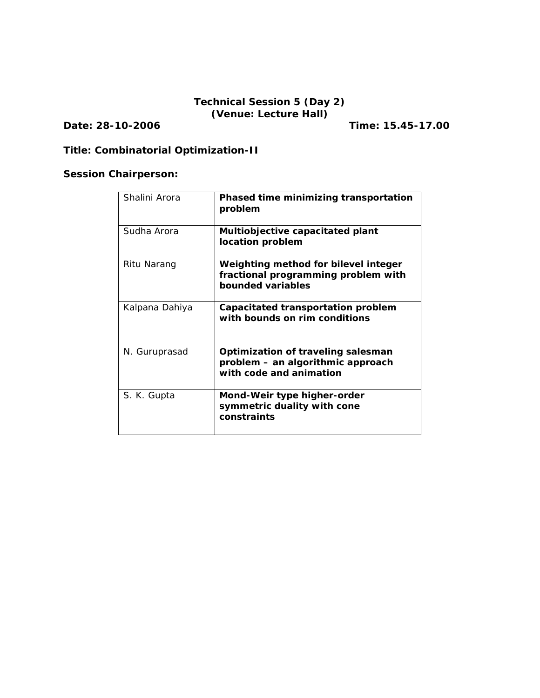### **Technical Session 5 (Day 2) (Venue: Lecture Hall)**

**Date: 28-10-2006 Time: 15.45-17.00**

# **Title: Combinatorial Optimization-II**

# **Session Chairperson:**

| Shalini Arora  | Phased time minimizing transportation<br>problem                                                   |
|----------------|----------------------------------------------------------------------------------------------------|
| Sudha Arora    | Multiobjective capacitated plant<br>location problem                                               |
| Ritu Narang    | Weighting method for bilevel integer<br>fractional programming problem with<br>bounded variables   |
| Kalpana Dahiya | Capacitated transportation problem<br>with bounds on rim conditions                                |
| N. Guruprasad  | Optimization of traveling salesman<br>problem - an algorithmic approach<br>with code and animation |
| S. K. Gupta    | Mond-Weir type higher-order<br>symmetric duality with cone<br>constraints                          |